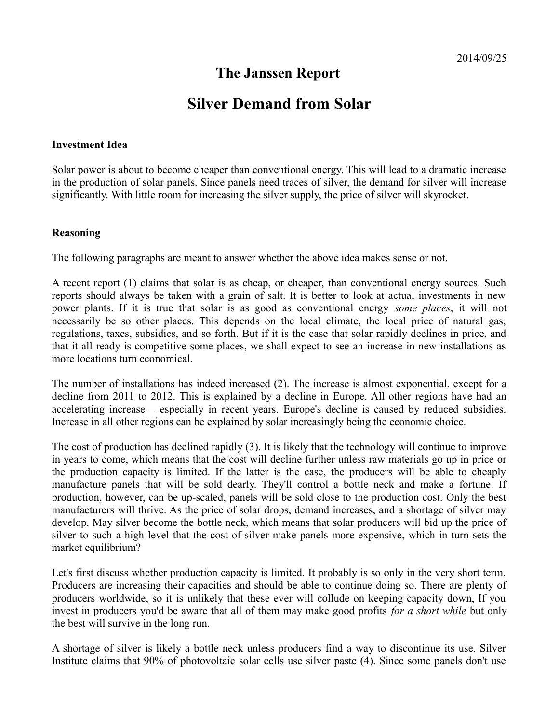# **The Janssen Report**

# **Silver Demand from Solar**

#### **Investment Idea**

Solar power is about to become cheaper than conventional energy. This will lead to a dramatic increase in the production of solar panels. Since panels need traces of silver, the demand for silver will increase significantly. With little room for increasing the silver supply, the price of silver will skyrocket.

#### **Reasoning**

The following paragraphs are meant to answer whether the above idea makes sense or not.

A recent report (1) claims that solar is as cheap, or cheaper, than conventional energy sources. Such reports should always be taken with a grain of salt. It is better to look at actual investments in new power plants. If it is true that solar is as good as conventional energy *some places*, it will not necessarily be so other places. This depends on the local climate, the local price of natural gas, regulations, taxes, subsidies, and so forth. But if it is the case that solar rapidly declines in price, and that it all ready is competitive some places, we shall expect to see an increase in new installations as more locations turn economical.

The number of installations has indeed increased (2). The increase is almost exponential, except for a decline from 2011 to 2012. This is explained by a decline in Europe. All other regions have had an accelerating increase – especially in recent years. Europe's decline is caused by reduced subsidies. Increase in all other regions can be explained by solar increasingly being the economic choice.

The cost of production has declined rapidly (3). It is likely that the technology will continue to improve in years to come, which means that the cost will decline further unless raw materials go up in price or the production capacity is limited. If the latter is the case, the producers will be able to cheaply manufacture panels that will be sold dearly. They'll control a bottle neck and make a fortune. If production, however, can be up-scaled, panels will be sold close to the production cost. Only the best manufacturers will thrive. As the price of solar drops, demand increases, and a shortage of silver may develop. May silver become the bottle neck, which means that solar producers will bid up the price of silver to such a high level that the cost of silver make panels more expensive, which in turn sets the market equilibrium?

Let's first discuss whether production capacity is limited. It probably is so only in the very short term. Producers are increasing their capacities and should be able to continue doing so. There are plenty of producers worldwide, so it is unlikely that these ever will collude on keeping capacity down, If you invest in producers you'd be aware that all of them may make good profits *for a short while* but only the best will survive in the long run.

A shortage of silver is likely a bottle neck unless producers find a way to discontinue its use. Silver Institute claims that 90% of photovoltaic solar cells use silver paste (4). Since some panels don't use